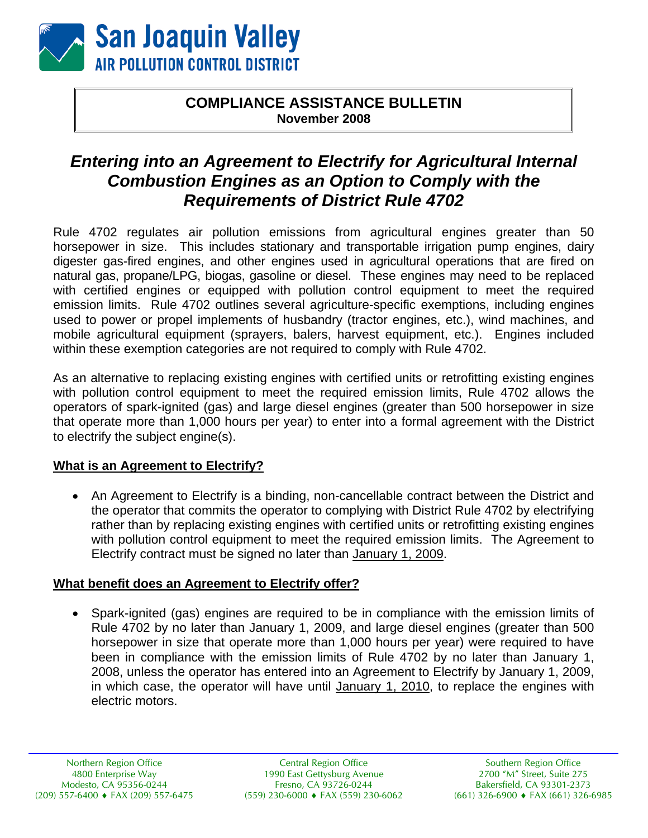

## **COMPLIANCE ASSISTANCE BULLETIN November 2008**

# *Entering into an Agreement to Electrify for Agricultural Internal Combustion Engines as an Option to Comply with the Requirements of District Rule 4702*

Rule 4702 regulates air pollution emissions from agricultural engines greater than 50 horsepower in size. This includes stationary and transportable irrigation pump engines, dairy digester gas-fired engines, and other engines used in agricultural operations that are fired on natural gas, propane/LPG, biogas, gasoline or diesel. These engines may need to be replaced with certified engines or equipped with pollution control equipment to meet the required emission limits. Rule 4702 outlines several agriculture-specific exemptions, including engines used to power or propel implements of husbandry (tractor engines, etc.), wind machines, and mobile agricultural equipment (sprayers, balers, harvest equipment, etc.). Engines included within these exemption categories are not required to comply with Rule 4702.

As an alternative to replacing existing engines with certified units or retrofitting existing engines with pollution control equipment to meet the required emission limits, Rule 4702 allows the operators of spark-ignited (gas) and large diesel engines (greater than 500 horsepower in size that operate more than 1,000 hours per year) to enter into a formal agreement with the District to electrify the subject engine(s).

### **What is an Agreement to Electrify?**

• An Agreement to Electrify is a binding, non-cancellable contract between the District and the operator that commits the operator to complying with District Rule 4702 by electrifying rather than by replacing existing engines with certified units or retrofitting existing engines with pollution control equipment to meet the required emission limits. The Agreement to Electrify contract must be signed no later than January 1, 2009.

#### **What benefit does an Agreement to Electrify offer?**

• Spark-ignited (gas) engines are required to be in compliance with the emission limits of Rule 4702 by no later than January 1, 2009, and large diesel engines (greater than 500 horsepower in size that operate more than 1,000 hours per year) were required to have been in compliance with the emission limits of Rule 4702 by no later than January 1, 2008, unless the operator has entered into an Agreement to Electrify by January 1, 2009, in which case, the operator will have until January 1, 2010, to replace the engines with electric motors.